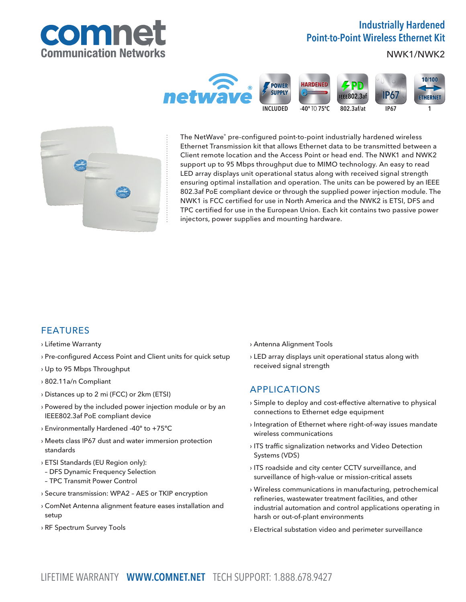

# Industrially Hardened Point-to-Point Wireless Ethernet Kit

NWK1/NWK2





The NetWave® pre-configured point-to-point industrially hardened wireless Ethernet Transmission kit that allows Ethernet data to be transmitted between a Client remote location and the Access Point or head end. The NWK1 and NWK2 support up to 95 Mbps throughput due to MIMO technology. An easy to read LED array displays unit operational status along with received signal strength ensuring optimal installation and operation. The units can be powered by an IEEE 802.3af PoE compliant device or through the supplied power injection module. The NWK1 is FCC certified for use in North America and the NWK2 is ETSI, DFS and TPC certified for use in the European Union. Each kit contains two passive power injectors, power supplies and mounting hardware.

## FEATURES

### › Lifetime Warranty

- › Pre-configured Access Point and Client units for quick setup
- › Up to 95 Mbps Throughput
- › 802.11a/n Compliant
- › Distances up to 2 mi (FCC) or 2km (ETSI)
- › Powered by the included power injection module or by an IEEE802.3af PoE compliant device
- › Environmentally Hardened -40º to +75ºC
- › Meets class IP67 dust and water immersion protection standards
- › ETSI Standards (EU Region only):
- DFS Dynamic Frequency Selection
- TPC Transmit Power Control
- › Secure transmission: WPA2 AES or TKIP encryption
- › ComNet Antenna alignment feature eases installation and setup
- › RF Spectrum Survey Tools
- › Antenna Alignment Tools
- › LED array displays unit operational status along with received signal strength

## APPLICATIONS

- › Simple to deploy and cost-effective alternative to physical connections to Ethernet edge equipment
- › Integration of Ethernet where right-of-way issues mandate wireless communications
- › ITS traffic signalization networks and Video Detection Systems (VDS)
- › ITS roadside and city center CCTV surveillance, and surveillance of high-value or mission-critical assets
- › Wireless communications in manufacturing, petrochemical refineries, wastewater treatment facilities, and other industrial automation and control applications operating in harsh or out-of-plant environments
- › Electrical substation video and perimeter surveillance